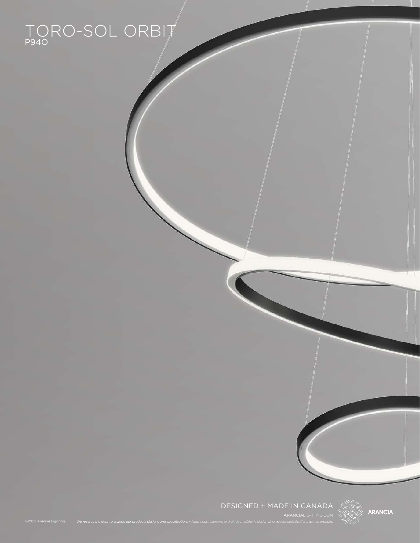### TORO-SOL ORBIT P94O

*©2022 Arancia Lighting*

### DESIGNED + MADE IN CANADA

We reserve the right to change our products designs and specifications • Nous nous réservons le droit de modifier le design ainsi que les spécifications de nos produits.

**ARANCIA.**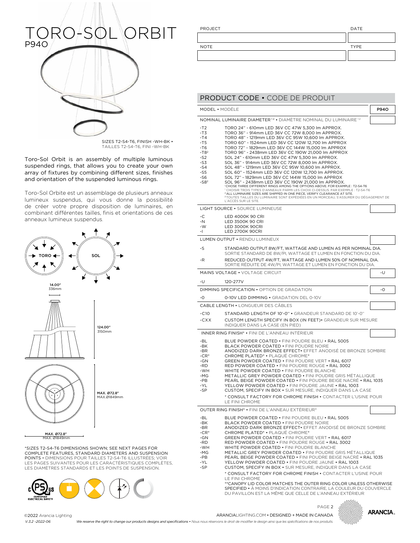# RO-SOL ORBIT P94O

SIZES T2-S4-T6, FINISH -WH-BK • TAILLES T2-S4-T6, FINI -WH-BK

Toro-Sol Orbit is an assembly of multiple luminous suspended rings, that allows you to create your own array of fixtures by combining different sizes, finishes and orientation of the suspended luminous rings.

Toro-Sol Orbite est un assemblage de plusieurs anneaux lumineux suspendus, qui vous donne la possibilité de créer votre propre disposition de luminaires, en combinant différentes tailles, finis et orientations de ces anneaux lumineux suspendus.



\*SIZES T2-S4-T6 DIMENSIONS SHOWN; SEE NEXT PAGES FOR COMPLETE FEATURES, STANDARD DIAMETERS AND SUSPENSION POINTS • DIMENSIONS POUR TAILLES T2-S4-T6 ILLUSTRÉES; VOIR LES PAGES SUIVANTES POUR LES CARACTÉRISTIQUES COMPLÈTES, LES DIAMÈTRES STANDARDS ET LES POINTS DE SUSPENSION.



PROJECT DATE

NOTE TYPE

### PRODUCT CODE • CODE DE PRODUIT

|                                                                                                | MODEL • MODÈLE                                                                                                                                                                                                                                                                                                                                                                                                                                                                                                                                                                                                                                                                                                                                                                                                                                                                                                                                                                                                                                                | P94O |
|------------------------------------------------------------------------------------------------|---------------------------------------------------------------------------------------------------------------------------------------------------------------------------------------------------------------------------------------------------------------------------------------------------------------------------------------------------------------------------------------------------------------------------------------------------------------------------------------------------------------------------------------------------------------------------------------------------------------------------------------------------------------------------------------------------------------------------------------------------------------------------------------------------------------------------------------------------------------------------------------------------------------------------------------------------------------------------------------------------------------------------------------------------------------|------|
|                                                                                                | NOMINAL LUMINAIRE DIAMETER <sup>12</sup> · DIAMÈTRE NOMINAL DU LUMINAIRE <sup>12</sup>                                                                                                                                                                                                                                                                                                                                                                                                                                                                                                                                                                                                                                                                                                                                                                                                                                                                                                                                                                        |      |
| -T2<br>$-T3$<br>-T4<br>$-T5$<br>-T6<br>$-T82$<br>-S2<br>-S3<br>$-S4$<br>$-S5$<br>-S6<br>$-S82$ | TORO 24" - 610mm LED 36V CC 47W 5,300 lm APPROX.<br>TORO 36" - 914mm LED 36V CC 72W 8,000 lm APPROX.<br>TORO 48" - 1219mm LED 36V CC 95W 10,600 lm APPROX.<br>TORO 60" - 1524mm LED 36V CC 120W 12,700 lm APPROX<br>TORO 72" - 1829mm LED 36V CC 144W 15,000 lm APPROX<br>TORO 96" - 2438mm LED 36V CC 190W 21,000 lm APPROX<br>SOL 24" - 610mm LED 36V CC 47W 5,300 lm APPROX.<br>SOL 36" - 914mm LED 36V CC 72W 8,000 lm APPROX.<br>SOL 48" - 1219mm LED 36V CC 95W 10,600 lm APPROX.<br>SOL 60" - 1524mm LED 36V CC 120W 12,700 lm APPROX.<br>SOL 72" - 1829mm LED 36V CC 144W 15,000 lm APPROX<br>SOL 96" - 2438mm LED 36V CC 190W 21,000 lm APPROX.<br><sup>1</sup> CHOSE THREE DIFFERENT RINGS AMONG THE OPTIONS ABOVE. FOR EXAMPLE : T2-S4-T6<br><sup>1</sup> CHOISIR TROIS TYPES D'ANNEAUX PARMI LES CHOIX CI-DESSUS. PAR EXEMPLE : T2-S4-T6<br><sup>2</sup> ALL LUMINAIRE SIZES ARE SHIPPED IN ONE PIECE, VERIFY CLEARANCE AT SITE.<br>PTOUTES TAILLES DU LUMINAIRE SONT EXPÉDIÉES EN UN MORCEAU, S'ASSURER DU DÉGAGEMENT DE<br>L'ACCÈS SUR LE SITE. |      |
|                                                                                                | LIGHT SOURCE • SOURCE LUMINEUSE                                                                                                                                                                                                                                                                                                                                                                                                                                                                                                                                                                                                                                                                                                                                                                                                                                                                                                                                                                                                                               |      |
| -C<br>-N<br>-W<br>-1                                                                           | LED 4000K 90 CRI<br>LED 3500K 90 CRI<br><b>LED 3000K 90CRI</b><br><b>LED 2700K 90CRI</b>                                                                                                                                                                                                                                                                                                                                                                                                                                                                                                                                                                                                                                                                                                                                                                                                                                                                                                                                                                      |      |
|                                                                                                | LUMEN OUTPUT . RENDU LUMINEUX                                                                                                                                                                                                                                                                                                                                                                                                                                                                                                                                                                                                                                                                                                                                                                                                                                                                                                                                                                                                                                 |      |
| -S                                                                                             | STANDARD OUTPUT 8W/FT, WATTAGE AND LUMEN AS PER NOMINAL DIA.<br>SORTIE STANDARD DE 8W/PI, WATTAGE ET LUMEN EN FONCTION DU DIA.                                                                                                                                                                                                                                                                                                                                                                                                                                                                                                                                                                                                                                                                                                                                                                                                                                                                                                                                |      |
| $-R$                                                                                           | REDUCED OUTPUT 4W/FT, WATTAGE AND LUMEN 50% OF NOMINAL DIA.<br>SORTIE RÉDUITE DE 4W/PI, WATTAGE ET LUMEN EN FONCTION DU DIA.                                                                                                                                                                                                                                                                                                                                                                                                                                                                                                                                                                                                                                                                                                                                                                                                                                                                                                                                  |      |
|                                                                                                | <b>MAINS VOLTAGE • VOLTAGE CIRCUIT</b>                                                                                                                                                                                                                                                                                                                                                                                                                                                                                                                                                                                                                                                                                                                                                                                                                                                                                                                                                                                                                        | -U   |
| -U                                                                                             | 120-277V                                                                                                                                                                                                                                                                                                                                                                                                                                                                                                                                                                                                                                                                                                                                                                                                                                                                                                                                                                                                                                                      |      |
|                                                                                                | DIMMING SPECIFICATION . OPTION DE GRADATION                                                                                                                                                                                                                                                                                                                                                                                                                                                                                                                                                                                                                                                                                                                                                                                                                                                                                                                                                                                                                   | -0   |
| -0                                                                                             | 0-10V LED DIMMING . GRADATION DEL 0-10V                                                                                                                                                                                                                                                                                                                                                                                                                                                                                                                                                                                                                                                                                                                                                                                                                                                                                                                                                                                                                       |      |
|                                                                                                | <b>CABLE LENGTH • LONGUEUR DES CABLES</b>                                                                                                                                                                                                                                                                                                                                                                                                                                                                                                                                                                                                                                                                                                                                                                                                                                                                                                                                                                                                                     |      |
| $-C10$<br>-CXX                                                                                 | STANDARD LENGTH OF 10'-0" . GRANDEUR STANDARD DE 10'-0"<br>CUSTOM LENGTH SPECIFY IN BOX (IN FEET) · GRANDEUR SUR MESURE<br>INDIQUER DANS LA CASE (EN PIED)                                                                                                                                                                                                                                                                                                                                                                                                                                                                                                                                                                                                                                                                                                                                                                                                                                                                                                    |      |
|                                                                                                | INNER RING FINISH* • FINI DE L'ANNEAU INTÉRIEUR                                                                                                                                                                                                                                                                                                                                                                                                                                                                                                                                                                                                                                                                                                                                                                                                                                                                                                                                                                                                               |      |
| -BL<br>-BK<br>-BR<br>$-CR^*$<br>-GN<br>-RD<br>-WH<br>-MG<br>-PB<br>-YL<br>$-SP$                | BLUE POWDER COATED • FINI POUDRE BLEU • RAL 5005<br>BLACK POWDER COATED . FINI POUDRE NOIRE<br>ANODIZED DARK BRONZE EFFECT. EFFET ANODISÉ DE BRONZE SOMBRE<br>CHROME PLATED* · PLAQUÉ CHROME*<br>GREEN POWDER COATED . FINI POUDRE VERT . RAL 6017<br>RED POWDER COATED • FINI POUDRE ROUGE • RAL 3002<br>WHITE POWDER COATED . FINI POUDRE BLANCHE<br>METALLIC GREY POWDER COATED • FINI POUDRE GRIS MÉTALLIQUE<br>PEARL BEIGE POWDER COATED • FINI POUDRE BEIGE NACRÉ • RAL 1035<br>YELLOW POWDER COATED • FINI POUDRE JAUNE • RAL 1003<br>CUSTOM, SPECIFY IN BOX • SUR MESURE, INDIQUER DANS LA CASE<br>* CONSULT FACTORY FOR CHROME FINISH • CONTACTER L'USINE POUR<br>LE FINI CHROME                                                                                                                                                                                                                                                                                                                                                                     |      |
|                                                                                                | OUTER RING FINISH* • FINI DE L'ANNEAU EXTÉRIEUR*                                                                                                                                                                                                                                                                                                                                                                                                                                                                                                                                                                                                                                                                                                                                                                                                                                                                                                                                                                                                              |      |
| -BL<br>-BK<br>-BR<br>$-CR^*$<br>-GN<br>-RD<br>-WH<br>-MG<br>-PB<br>-YL<br>-SP                  | BLUE POWDER COATED • FINI POUDRE BLEU • RAL 5005<br>BLACK POWDER COATED • FINI POUDRE NOIRE<br>ANODIZED DARK BRONZE EFFECT• EFFET ANODISÉ DE BRONZE SOMBRE<br>CHROME PLATED* · PLAQUÉ CHROME*<br>GREEN POWDER COATED . FINI POUDRE VERT . RAL 6017<br>RED POWDER COATED • FINI POUDRE ROUGE • RAL 3002<br>WHITE POWDER COATED • FINI POUDRE BLANCHE<br>METALLIC GREY POWDER COATED • FINI POUDRE GRIS MÉTALLIQUE<br>PEARL BEIGE POWDER COATED • FINI POUDRE BEIGE NACRÉ • RAL 1035<br>YELLOW POWDER COATED . FINI POUDRE JAUNE . RAL 1003<br>CUSTOM, SPECIFY IN BOX . SUR MESURE, INDIQUER DANS LA CASE                                                                                                                                                                                                                                                                                                                                                                                                                                                       |      |

\* CONSULT FACTORY FOR CHROME FINISH • CONTACTER L'USINE POUR LE FINI CHROME

\*\*CANOPY LID COLOR MATCHES THE OUTER RING COLOR UNLESS OTHERWISE SPECIFIED • À MOINS D'INDICATION CONTRAIRE, LA COULEUR DU COUVERCLE DU PAVILLON EST LA MÊME QUE CELLE DE L'ANNEAU EXTÉRIEUR

PAGE 2



©2022 Arancia Lighting *V.3.2 -2022-06*

ARANCIALIGHTING.COM • DESIGNED + MADE IN CANADA

*We reserve the right to change our products designs and specifications • Nous nous réservons le droit de modifier le design ainsi que les spécifications de nos produits.*